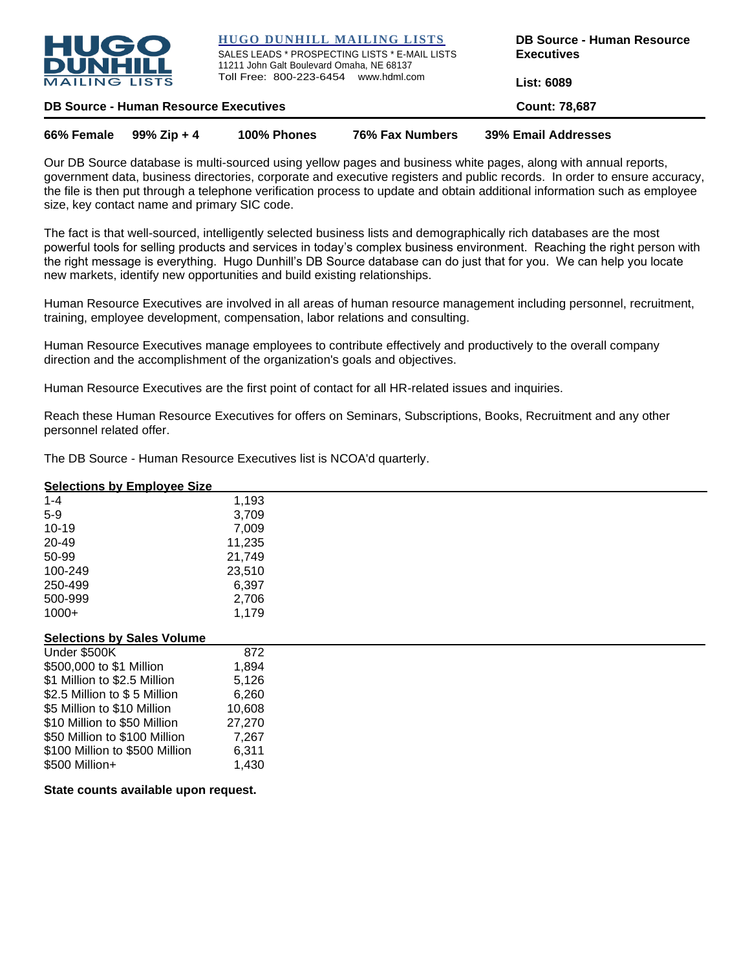

**HUGO DUNHILL MAILING LISTS**

SALES LEADS \* PROSPECTING LISTS \* E-MAIL LISTS 11211 John Galt Boulevard Omaha, NE 68137 Toll Free: 800-223-6454 www.hdml.com

**DB Source - Human Resource Executives**

**List: 6089**

**DB Source - Human Resource Executives Count: 78,687** 

| 66% Female $99\%$ Zip + 4 | 100% Phones | 76% Fax Numbers | 39% Email Addresses |
|---------------------------|-------------|-----------------|---------------------|
|                           |             |                 |                     |

Our DB Source database is multi-sourced using yellow pages and business white pages, along with annual reports, government data, business directories, corporate and executive registers and public records. In order to ensure accuracy, the file is then put through a telephone verification process to update and obtain additional information such as employee size, key contact name and primary SIC code.

The fact is that well-sourced, intelligently selected business lists and demographically rich databases are the most powerful tools for selling products and services in today's complex business environment. Reaching the right person with the right message is everything. Hugo Dunhill's DB Source database can do just that for you. We can help you locate new markets, identify new opportunities and build existing relationships.

Human Resource Executives are involved in all areas of human resource management including personnel, recruitment, training, employee development, compensation, labor relations and consulting.

Human Resource Executives manage employees to contribute effectively and productively to the overall company direction and the accomplishment of the organization's goals and objectives.

Human Resource Executives are the first point of contact for all HR-related issues and inquiries.

Reach these Human Resource Executives for offers on Seminars, Subscriptions, Books, Recruitment and any other personnel related offer.

The DB Source - Human Resource Executives list is NCOA'd quarterly.

## **Selections by Employee Size**

| $1 - 4$   | 1,193  |
|-----------|--------|
| $5-9$     | 3,709  |
| $10 - 19$ | 7,009  |
| 20-49     | 11,235 |
| 50-99     | 21,749 |
| 100-249   | 23,510 |
| 250-499   | 6,397  |
| 500-999   | 2,706  |
| $1000+$   | 1,179  |

#### **Selections by Sales Volume**

| Under \$500K                   | 872    |
|--------------------------------|--------|
| \$500,000 to \$1 Million       | 1,894  |
| \$1 Million to \$2.5 Million   | 5,126  |
| \$2.5 Million to \$5 Million   | 6,260  |
| \$5 Million to \$10 Million    | 10,608 |
| \$10 Million to \$50 Million   | 27,270 |
| \$50 Million to \$100 Million  | 7,267  |
| \$100 Million to \$500 Million | 6,311  |
| \$500 Million+                 | 1,430  |

**State counts available upon request.**